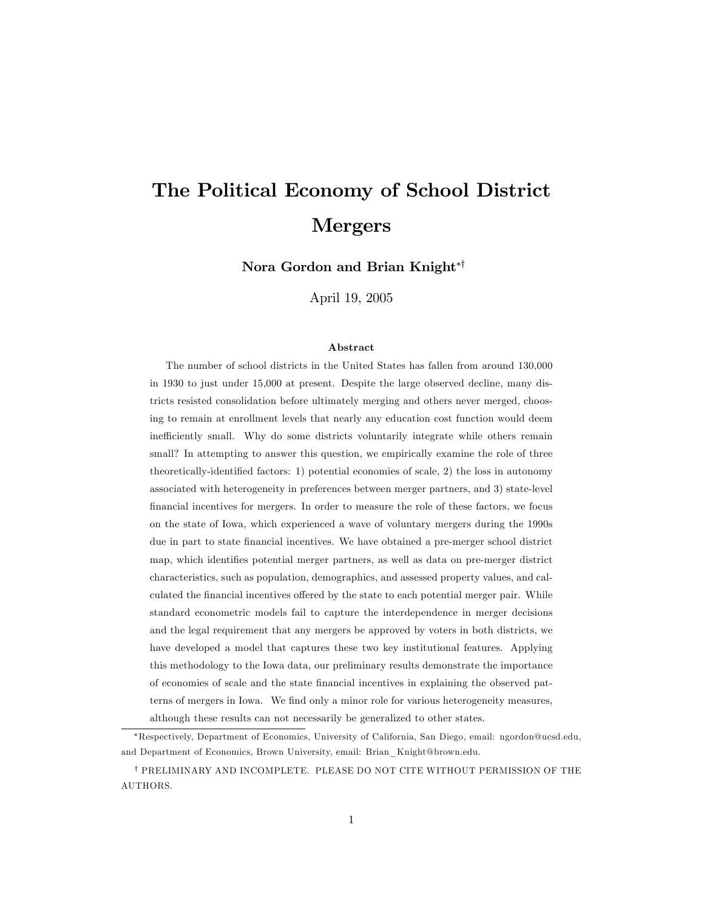# The Political Economy of School District Mergers

Nora Gordon and Brian Knight<sup>\*†</sup>

April 19, 2005

#### Abstract

The number of school districts in the United States has fallen from around 130,000 in 1930 to just under 15,000 at present. Despite the large observed decline, many districts resisted consolidation before ultimately merging and others never merged, choosing to remain at enrollment levels that nearly any education cost function would deem inefficiently small. Why do some districts voluntarily integrate while others remain small? In attempting to answer this question, we empirically examine the role of three theoretically-identified factors: 1) potential economies of scale, 2) the loss in autonomy associated with heterogeneity in preferences between merger partners, and 3) state-level financial incentives for mergers. In order to measure the role of these factors, we focus on the state of Iowa, which experienced a wave of voluntary mergers during the 1990s due in part to state financial incentives. We have obtained a pre-merger school district map, which identifies potential merger partners, as well as data on pre-merger district characteristics, such as population, demographics, and assessed property values, and calculated the financial incentives offered by the state to each potential merger pair. While standard econometric models fail to capture the interdependence in merger decisions and the legal requirement that any mergers be approved by voters in both districts, we have developed a model that captures these two key institutional features. Applying this methodology to the Iowa data, our preliminary results demonstrate the importance of economies of scale and the state Önancial incentives in explaining the observed patterns of mergers in Iowa. We find only a minor role for various heterogeneity measures, although these results can not necessarily be generalized to other states.

Respectively, Department of Economics, University of California, San Diego, email: ngordon@ucsd.edu, and Department of Economics, Brown University, email: Brian\_Knight@brown.edu.

y PRELIMINARY AND INCOMPLETE. PLEASE DO NOT CITE WITHOUT PERMISSION OF THE AUTHORS.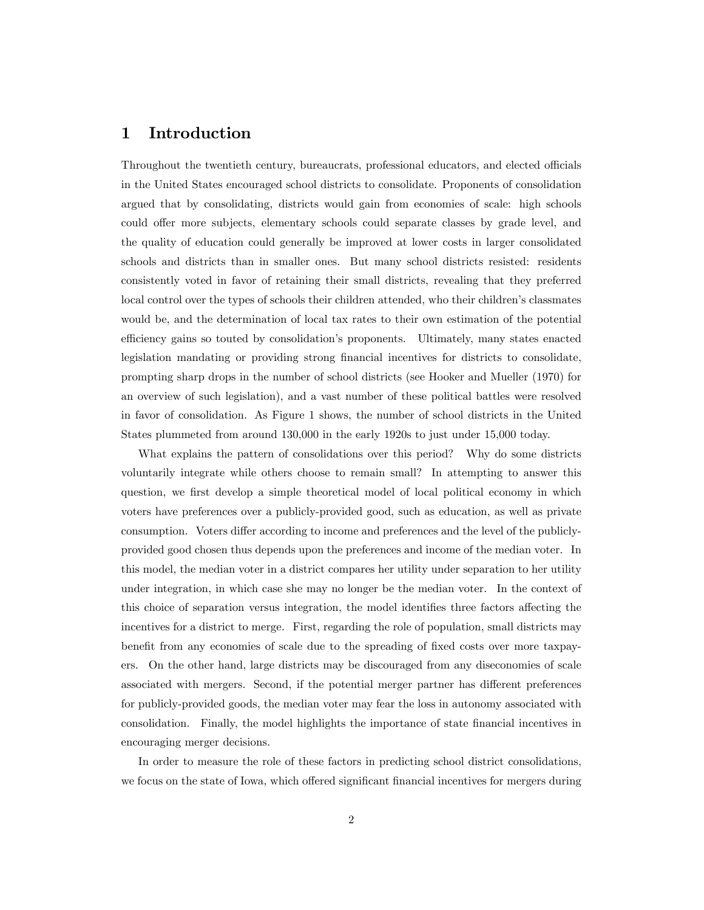# 1 Introduction

Throughout the twentieth century, bureaucrats, professional educators, and elected officials in the United States encouraged school districts to consolidate. Proponents of consolidation argued that by consolidating, districts would gain from economies of scale: high schools could offer more subjects, elementary schools could separate classes by grade level, and the quality of education could generally be improved at lower costs in larger consolidated schools and districts than in smaller ones. But many school districts resisted: residents consistently voted in favor of retaining their small districts, revealing that they preferred local control over the types of schools their children attended, who their children's classmates would be, and the determination of local tax rates to their own estimation of the potential efficiency gains so touted by consolidation's proponents. Ultimately, many states enacted legislation mandating or providing strong Önancial incentives for districts to consolidate, prompting sharp drops in the number of school districts (see Hooker and Mueller (1970) for an overview of such legislation), and a vast number of these political battles were resolved in favor of consolidation. As Figure 1 shows, the number of school districts in the United States plummeted from around 130,000 in the early 1920s to just under 15,000 today.

What explains the pattern of consolidations over this period? Why do some districts voluntarily integrate while others choose to remain small? In attempting to answer this question, we first develop a simple theoretical model of local political economy in which voters have preferences over a publicly-provided good, such as education, as well as private consumption. Voters differ according to income and preferences and the level of the publiclyprovided good chosen thus depends upon the preferences and income of the median voter. In this model, the median voter in a district compares her utility under separation to her utility under integration, in which case she may no longer be the median voter. In the context of this choice of separation versus integration, the model identifies three factors affecting the incentives for a district to merge. First, regarding the role of population, small districts may benefit from any economies of scale due to the spreading of fixed costs over more taxpayers. On the other hand, large districts may be discouraged from any diseconomies of scale associated with mergers. Second, if the potential merger partner has different preferences for publicly-provided goods, the median voter may fear the loss in autonomy associated with consolidation. Finally, the model highlights the importance of state financial incentives in encouraging merger decisions.

In order to measure the role of these factors in predicting school district consolidations, we focus on the state of Iowa, which offered significant financial incentives for mergers during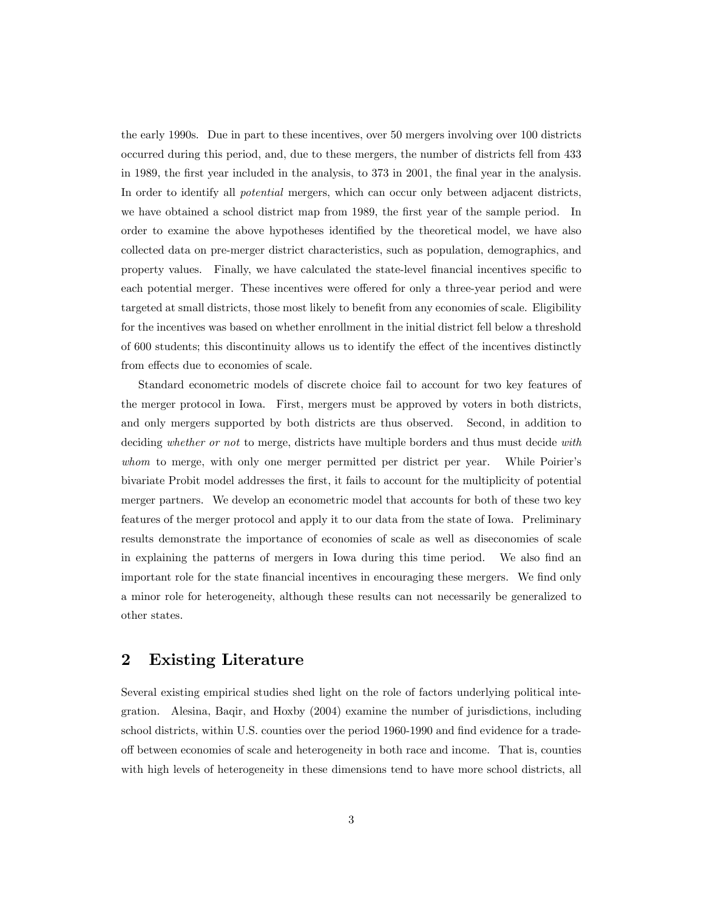the early 1990s. Due in part to these incentives, over 50 mergers involving over 100 districts occurred during this period, and, due to these mergers, the number of districts fell from 433 in 1989, the first year included in the analysis, to 373 in 2001, the final year in the analysis. In order to identify all *potential* mergers, which can occur only between adjacent districts, we have obtained a school district map from 1989, the first year of the sample period. In order to examine the above hypotheses identified by the theoretical model, we have also collected data on pre-merger district characteristics, such as population, demographics, and property values. Finally, we have calculated the state-level financial incentives specific to each potential merger. These incentives were offered for only a three-year period and were targeted at small districts, those most likely to benefit from any economies of scale. Eligibility for the incentives was based on whether enrollment in the initial district fell below a threshold of 600 students; this discontinuity allows us to identify the effect of the incentives distinctly from effects due to economies of scale.

Standard econometric models of discrete choice fail to account for two key features of the merger protocol in Iowa. First, mergers must be approved by voters in both districts, and only mergers supported by both districts are thus observed. Second, in addition to deciding whether or not to merge, districts have multiple borders and thus must decide with whom to merge, with only one merger permitted per district per year. While Poirier's bivariate Probit model addresses the Örst, it fails to account for the multiplicity of potential merger partners. We develop an econometric model that accounts for both of these two key features of the merger protocol and apply it to our data from the state of Iowa. Preliminary results demonstrate the importance of economies of scale as well as diseconomies of scale in explaining the patterns of mergers in Iowa during this time period. We also find an important role for the state financial incentives in encouraging these mergers. We find only a minor role for heterogeneity, although these results can not necessarily be generalized to other states.

# 2 Existing Literature

Several existing empirical studies shed light on the role of factors underlying political integration. Alesina, Baqir, and Hoxby (2004) examine the number of jurisdictions, including school districts, within U.S. counties over the period 1960-1990 and find evidence for a tradeo§ between economies of scale and heterogeneity in both race and income. That is, counties with high levels of heterogeneity in these dimensions tend to have more school districts, all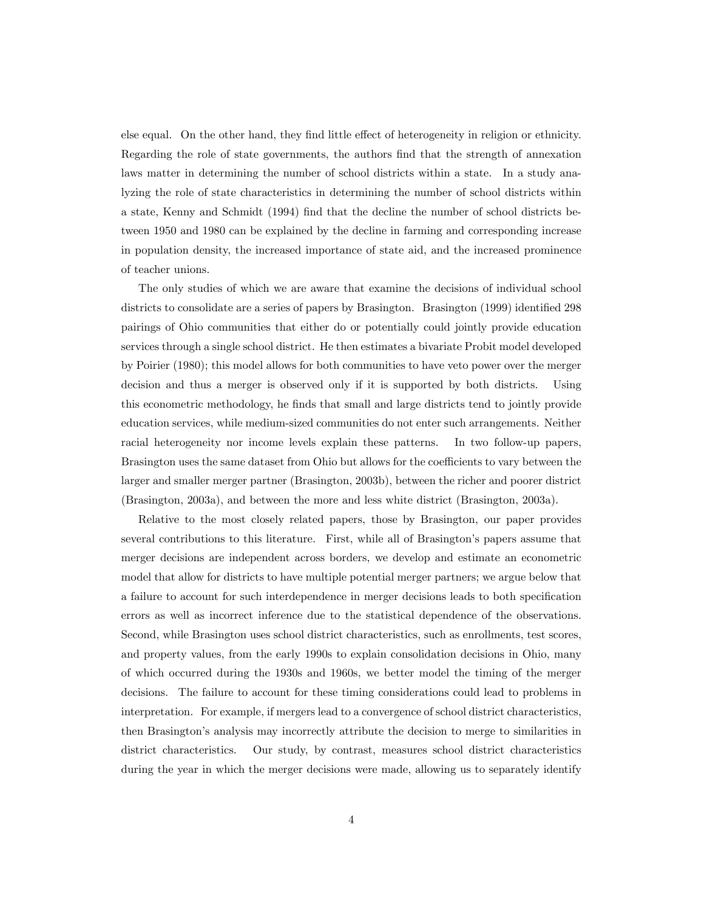else equal. On the other hand, they find little effect of heterogeneity in religion or ethnicity. Regarding the role of state governments, the authors Önd that the strength of annexation laws matter in determining the number of school districts within a state. In a study analyzing the role of state characteristics in determining the number of school districts within a state, Kenny and Schmidt (1994) Önd that the decline the number of school districts between 1950 and 1980 can be explained by the decline in farming and corresponding increase in population density, the increased importance of state aid, and the increased prominence of teacher unions.

The only studies of which we are aware that examine the decisions of individual school districts to consolidate are a series of papers by Brasington. Brasington (1999) identified 298 pairings of Ohio communities that either do or potentially could jointly provide education services through a single school district. He then estimates a bivariate Probit model developed by Poirier (1980); this model allows for both communities to have veto power over the merger decision and thus a merger is observed only if it is supported by both districts. Using this econometric methodology, he finds that small and large districts tend to jointly provide education services, while medium-sized communities do not enter such arrangements. Neither racial heterogeneity nor income levels explain these patterns. In two follow-up papers, Brasington uses the same dataset from Ohio but allows for the coefficients to vary between the larger and smaller merger partner (Brasington, 2003b), between the richer and poorer district (Brasington, 2003a), and between the more and less white district (Brasington, 2003a).

Relative to the most closely related papers, those by Brasington, our paper provides several contributions to this literature. First, while all of Brasington's papers assume that merger decisions are independent across borders, we develop and estimate an econometric model that allow for districts to have multiple potential merger partners; we argue below that a failure to account for such interdependence in merger decisions leads to both specification errors as well as incorrect inference due to the statistical dependence of the observations. Second, while Brasington uses school district characteristics, such as enrollments, test scores, and property values, from the early 1990s to explain consolidation decisions in Ohio, many of which occurred during the 1930s and 1960s, we better model the timing of the merger decisions. The failure to account for these timing considerations could lead to problems in interpretation. For example, if mergers lead to a convergence of school district characteristics, then Brasingtonís analysis may incorrectly attribute the decision to merge to similarities in district characteristics. Our study, by contrast, measures school district characteristics during the year in which the merger decisions were made, allowing us to separately identify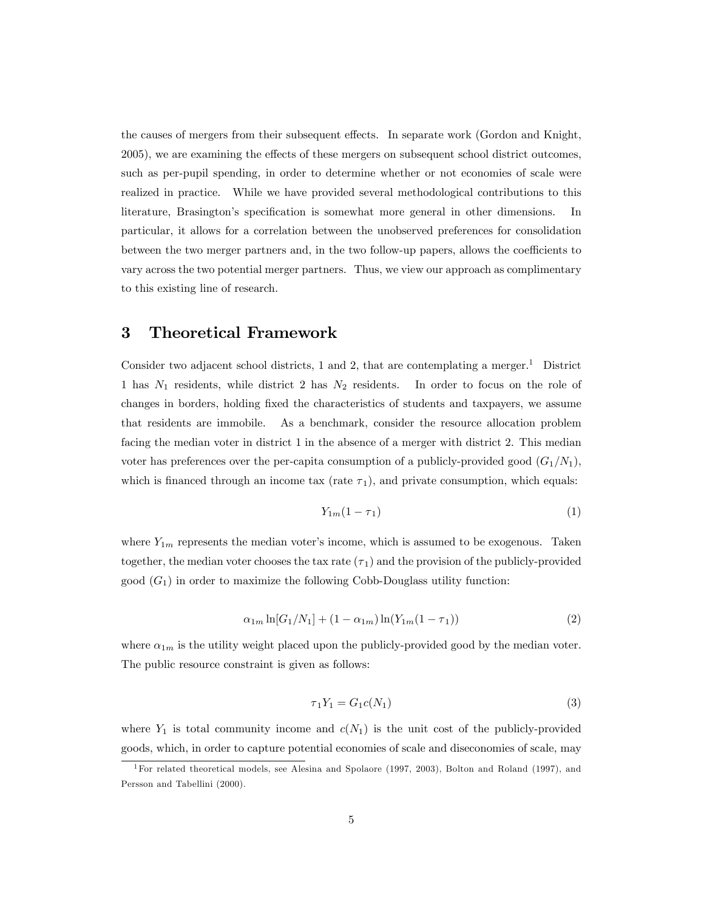the causes of mergers from their subsequent effects. In separate work (Gordon and Knight, 2005), we are examining the effects of these mergers on subsequent school district outcomes, such as per-pupil spending, in order to determine whether or not economies of scale were realized in practice. While we have provided several methodological contributions to this literature, Brasington's specification is somewhat more general in other dimensions. In particular, it allows for a correlation between the unobserved preferences for consolidation between the two merger partners and, in the two follow-up papers, allows the coefficients to vary across the two potential merger partners. Thus, we view our approach as complimentary to this existing line of research.

### 3 Theoretical Framework

Consider two adjacent school districts, 1 and 2, that are contemplating a merger.<sup>1</sup> District 1 has  $N_1$  residents, while district 2 has  $N_2$  residents. In order to focus on the role of changes in borders, holding Öxed the characteristics of students and taxpayers, we assume that residents are immobile. As a benchmark, consider the resource allocation problem facing the median voter in district 1 in the absence of a merger with district 2. This median voter has preferences over the per-capita consumption of a publicly-provided good  $(G_1/N_1)$ , which is financed through an income tax (rate  $\tau_1$ ), and private consumption, which equals:

$$
Y_{1m}(1-\tau_1) \tag{1}
$$

where  $Y_{1m}$  represents the median voter's income, which is assumed to be exogenous. Taken together, the median voter chooses the tax rate  $(\tau_1)$  and the provision of the publicly-provided good  $(G_1)$  in order to maximize the following Cobb-Douglass utility function:

$$
\alpha_{1m} \ln[G_1/N_1] + (1 - \alpha_{1m}) \ln(Y_{1m}(1 - \tau_1)) \tag{2}
$$

where  $\alpha_{1m}$  is the utility weight placed upon the publicly-provided good by the median voter. The public resource constraint is given as follows:

$$
\tau_1 Y_1 = G_1 c(N_1) \tag{3}
$$

where  $Y_1$  is total community income and  $c(N_1)$  is the unit cost of the publicly-provided goods, which, in order to capture potential economies of scale and diseconomies of scale, may

<sup>1</sup>For related theoretical models, see Alesina and Spolaore (1997, 2003), Bolton and Roland (1997), and Persson and Tabellini (2000).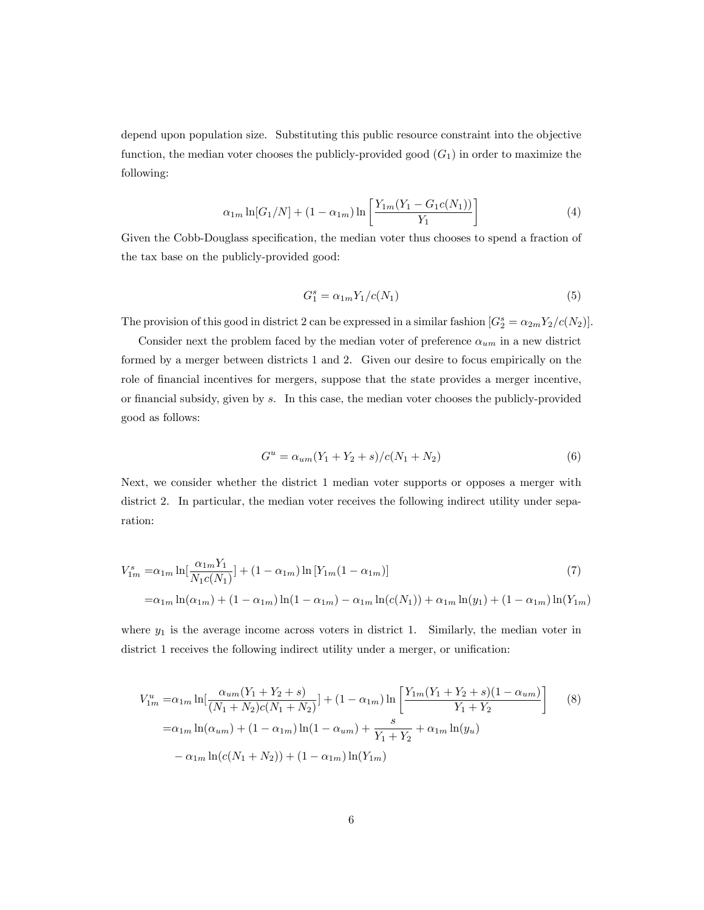depend upon population size. Substituting this public resource constraint into the objective function, the median voter chooses the publicly-provided good  $(G_1)$  in order to maximize the following:

$$
\alpha_{1m} \ln[G_1/N] + (1 - \alpha_{1m}) \ln\left[\frac{Y_{1m}(Y_1 - G_1 c(N_1))}{Y_1}\right]
$$
\n(4)

Given the Cobb-Douglass specification, the median voter thus chooses to spend a fraction of the tax base on the publicly-provided good:

$$
G_1^s = \alpha_{1m} Y_1 / c(N_1) \tag{5}
$$

The provision of this good in district 2 can be expressed in a similar fashion  $[G_2^s = \alpha_{2m} Y_2/c(N_2)].$ 

Consider next the problem faced by the median voter of preference  $\alpha_{um}$  in a new district formed by a merger between districts 1 and 2. Given our desire to focus empirically on the role of financial incentives for mergers, suppose that the state provides a merger incentive, or financial subsidy, given by  $s$ . In this case, the median voter chooses the publicly-provided good as follows:

$$
G^u = \alpha_{um}(Y_1 + Y_2 + s) / c(N_1 + N_2)
$$
\n(6)

Next, we consider whether the district 1 median voter supports or opposes a merger with district 2. In particular, the median voter receives the following indirect utility under separation:

$$
V_{1m}^{s} = \alpha_{1m} \ln \left[ \frac{\alpha_{1m} Y_1}{N_1 c(N_1)} \right] + (1 - \alpha_{1m}) \ln \left[ Y_{1m} (1 - \alpha_{1m}) \right]
$$
(7)  
=\alpha\_{1m} \ln(\alpha\_{1m}) + (1 - \alpha\_{1m}) \ln(1 - \alpha\_{1m}) - \alpha\_{1m} \ln(c(N\_1)) + \alpha\_{1m} \ln(y\_1) + (1 - \alpha\_{1m}) \ln(Y\_{1m})

where  $y_1$  is the average income across voters in district 1. Similarly, the median voter in district 1 receives the following indirect utility under a merger, or unification:

$$
V_{1m}^{u} = \alpha_{1m} \ln \left[ \frac{\alpha_{um}(Y_1 + Y_2 + s)}{(N_1 + N_2)c(N_1 + N_2)} \right] + (1 - \alpha_{1m}) \ln \left[ \frac{Y_{1m}(Y_1 + Y_2 + s)(1 - \alpha_{um})}{Y_1 + Y_2} \right]
$$
(8)  
=  $\alpha_{1m} \ln(\alpha_{um}) + (1 - \alpha_{1m}) \ln(1 - \alpha_{um}) + \frac{s}{Y_1 + Y_2} + \alpha_{1m} \ln(y_u)$   
-  $\alpha_{1m} \ln(c(N_1 + N_2)) + (1 - \alpha_{1m}) \ln(Y_{1m})$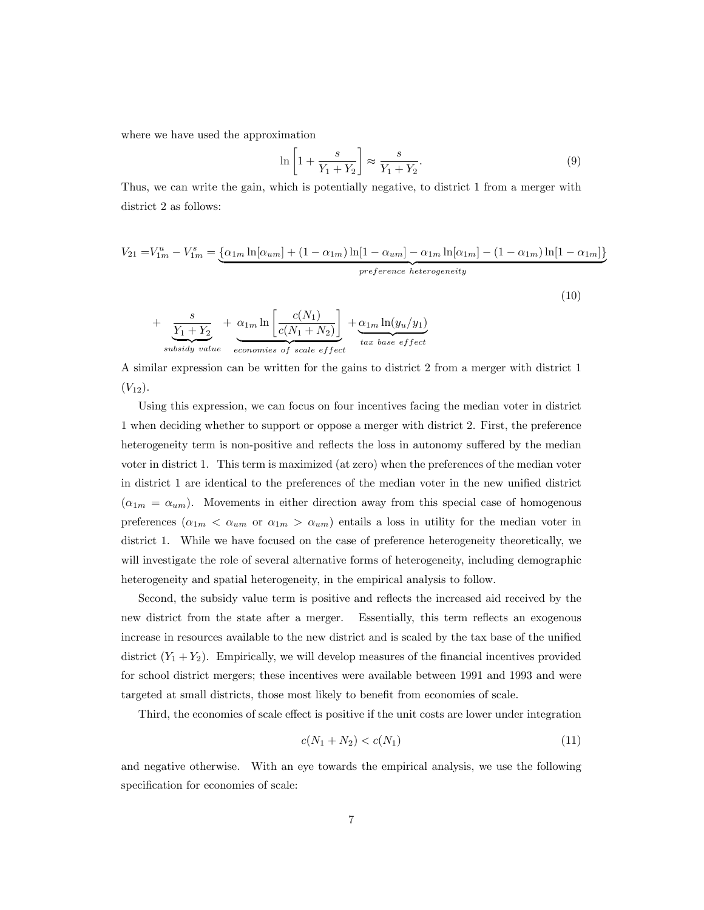where we have used the approximation

$$
\ln\left[1+\frac{s}{Y_1+Y_2}\right] \approx \frac{s}{Y_1+Y_2}.\tag{9}
$$

Thus, we can write the gain, which is potentially negative, to district 1 from a merger with district 2 as follows:

$$
V_{21} = V_{1m}^u - V_{1m}^s = \underbrace{\{\alpha_{1m} \ln[\alpha_{um}] + (1 - \alpha_{1m}) \ln[1 - \alpha_{um}] - \alpha_{1m} \ln[\alpha_{1m}] - (1 - \alpha_{1m}) \ln[1 - \alpha_{1m}]\}}_{perference \ heterogeneity}
$$

(10)

$$
+\underbrace{\frac{s}{Y_1+Y_2}}_{subsidy\ value} + \underbrace{\alpha_{1m}\ln\left[\frac{c(N_1)}{c(N_1+N_2)}\right]}_{economics\ of\ scale\ effect} + \underbrace{\alpha_{1m}\ln(y_u/y_1)}_{tax\ base\ effect}
$$

A similar expression can be written for the gains to district 2 from a merger with district 1  $(V_{12})$ .

Using this expression, we can focus on four incentives facing the median voter in district 1 when deciding whether to support or oppose a merger with district 2. First, the preference heterogeneity term is non-positive and reflects the loss in autonomy suffered by the median voter in district 1. This term is maximized (at zero) when the preferences of the median voter in district 1 are identical to the preferences of the median voter in the new unified district  $(\alpha_{1m} = \alpha_{um})$ . Movements in either direction away from this special case of homogenous preferences  $(\alpha_{1m} < \alpha_{um}$  or  $\alpha_{1m} > \alpha_{um})$  entails a loss in utility for the median voter in district 1. While we have focused on the case of preference heterogeneity theoretically, we will investigate the role of several alternative forms of heterogeneity, including demographic heterogeneity and spatial heterogeneity, in the empirical analysis to follow.

Second, the subsidy value term is positive and reflects the increased aid received by the new district from the state after a merger. Essentially, this term reflects an exogenous increase in resources available to the new district and is scaled by the tax base of the unified district  $(Y_1 + Y_2)$ . Empirically, we will develop measures of the financial incentives provided for school district mergers; these incentives were available between 1991 and 1993 and were targeted at small districts, those most likely to benefit from economies of scale.

Third, the economies of scale effect is positive if the unit costs are lower under integration

$$
c(N_1 + N_2) < c(N_1) \tag{11}
$$

and negative otherwise. With an eye towards the empirical analysis, we use the following specification for economies of scale: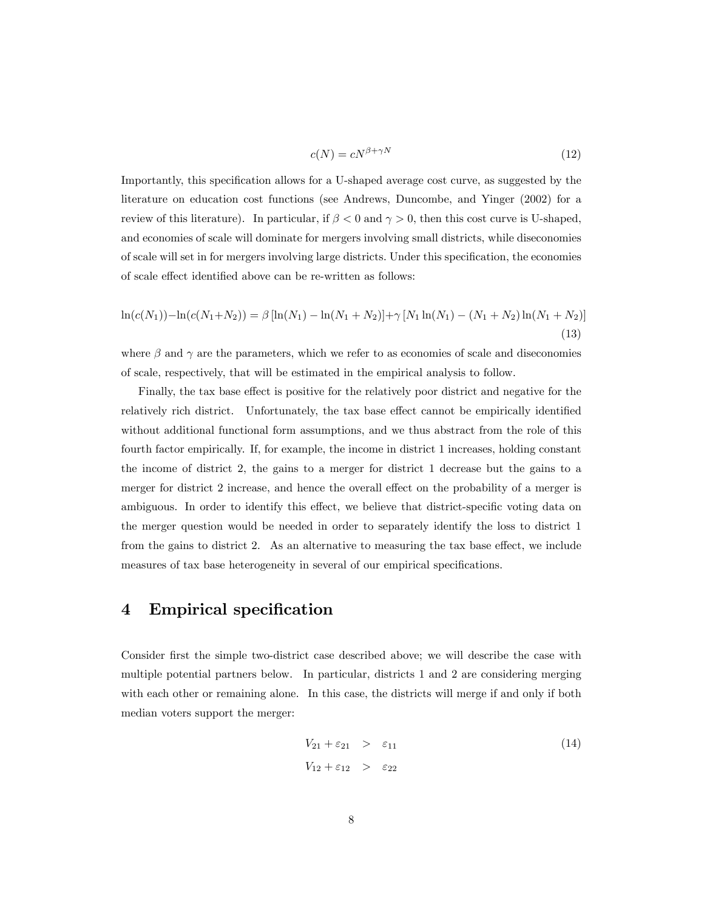$$
c(N) = cN^{\beta + \gamma N} \tag{12}
$$

Importantly, this specification allows for a U-shaped average cost curve, as suggested by the literature on education cost functions (see Andrews, Duncombe, and Yinger (2002) for a review of this literature). In particular, if  $\beta < 0$  and  $\gamma > 0$ , then this cost curve is U-shaped, and economies of scale will dominate for mergers involving small districts, while diseconomies of scale will set in for mergers involving large districts. Under this specification, the economies of scale effect identified above can be re-written as follows:

$$
\ln(c(N_1)) - \ln(c(N_1 + N_2)) = \beta [\ln(N_1) - \ln(N_1 + N_2)] + \gamma [N_1 \ln(N_1) - (N_1 + N_2) \ln(N_1 + N_2)]
$$
\n(13)

where  $\beta$  and  $\gamma$  are the parameters, which we refer to as economies of scale and diseconomies of scale, respectively, that will be estimated in the empirical analysis to follow.

Finally, the tax base effect is positive for the relatively poor district and negative for the relatively rich district. Unfortunately, the tax base effect cannot be empirically identified without additional functional form assumptions, and we thus abstract from the role of this fourth factor empirically. If, for example, the income in district 1 increases, holding constant the income of district 2, the gains to a merger for district 1 decrease but the gains to a merger for district 2 increase, and hence the overall effect on the probability of a merger is ambiguous. In order to identify this effect, we believe that district-specific voting data on the merger question would be needed in order to separately identify the loss to district 1 from the gains to district 2. As an alternative to measuring the tax base effect, we include measures of tax base heterogeneity in several of our empirical specifications.

## 4 Empirical specification

Consider first the simple two-district case described above; we will describe the case with multiple potential partners below. In particular, districts 1 and 2 are considering merging with each other or remaining alone. In this case, the districts will merge if and only if both median voters support the merger:

$$
V_{21} + \varepsilon_{21} > \varepsilon_{11}
$$
\n
$$
V_{12} + \varepsilon_{12} > \varepsilon_{22}
$$
\n
$$
(14)
$$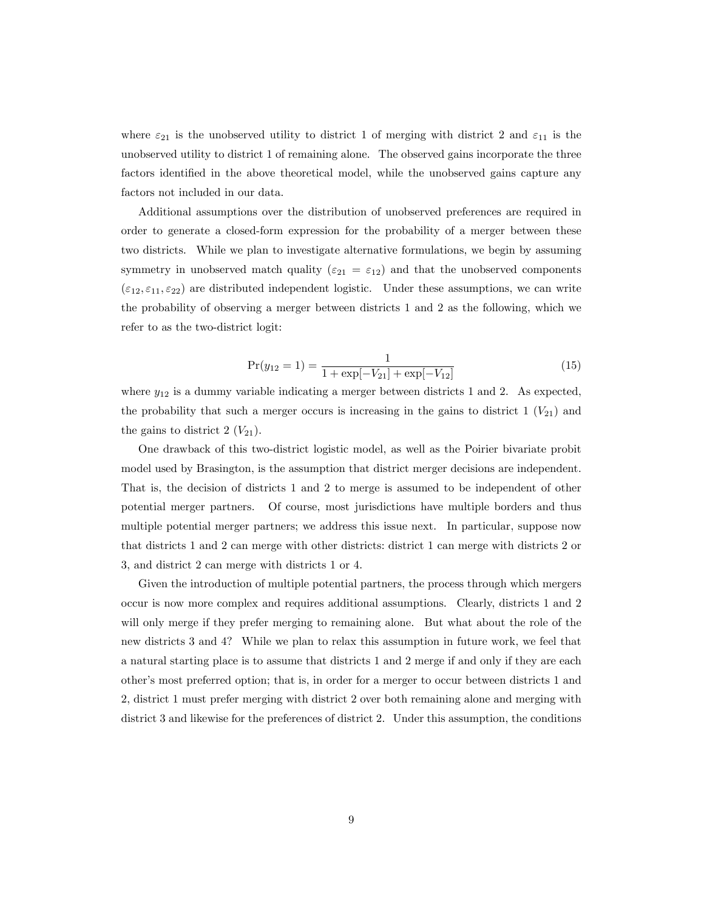where  $\varepsilon_{21}$  is the unobserved utility to district 1 of merging with district 2 and  $\varepsilon_{11}$  is the unobserved utility to district 1 of remaining alone. The observed gains incorporate the three factors identified in the above theoretical model, while the unobserved gains capture any factors not included in our data.

Additional assumptions over the distribution of unobserved preferences are required in order to generate a closed-form expression for the probability of a merger between these two districts. While we plan to investigate alternative formulations, we begin by assuming symmetry in unobserved match quality ( $\varepsilon_{21} = \varepsilon_{12}$ ) and that the unobserved components  $(\epsilon_{12}, \epsilon_{11}, \epsilon_{22})$  are distributed independent logistic. Under these assumptions, we can write the probability of observing a merger between districts 1 and 2 as the following, which we refer to as the two-district logit:

$$
Pr(y_{12} = 1) = \frac{1}{1 + \exp[-V_{21}] + \exp[-V_{12}]} \tag{15}
$$

where  $y_{12}$  is a dummy variable indicating a merger between districts 1 and 2. As expected, the probability that such a merger occurs is increasing in the gains to district  $1 (V_{21})$  and the gains to district 2  $(V_{21})$ .

One drawback of this two-district logistic model, as well as the Poirier bivariate probit model used by Brasington, is the assumption that district merger decisions are independent. That is, the decision of districts 1 and 2 to merge is assumed to be independent of other potential merger partners. Of course, most jurisdictions have multiple borders and thus multiple potential merger partners; we address this issue next. In particular, suppose now that districts 1 and 2 can merge with other districts: district 1 can merge with districts 2 or 3, and district 2 can merge with districts 1 or 4.

Given the introduction of multiple potential partners, the process through which mergers occur is now more complex and requires additional assumptions. Clearly, districts 1 and 2 will only merge if they prefer merging to remaining alone. But what about the role of the new districts 3 and 4? While we plan to relax this assumption in future work, we feel that a natural starting place is to assume that districts 1 and 2 merge if and only if they are each otherís most preferred option; that is, in order for a merger to occur between districts 1 and 2, district 1 must prefer merging with district 2 over both remaining alone and merging with district 3 and likewise for the preferences of district 2. Under this assumption, the conditions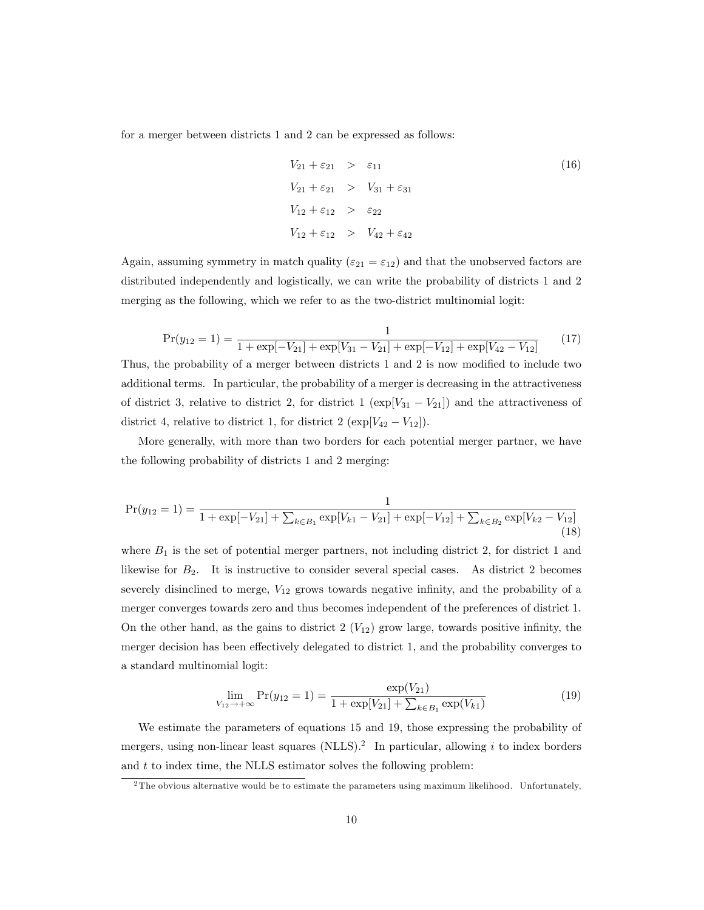for a merger between districts 1 and 2 can be expressed as follows:

$$
V_{21} + \varepsilon_{21} > \varepsilon_{11}
$$
\n
$$
V_{21} + \varepsilon_{21} > V_{31} + \varepsilon_{31}
$$
\n
$$
V_{12} + \varepsilon_{12} > \varepsilon_{22}
$$
\n
$$
V_{12} + \varepsilon_{12} > V_{42} + \varepsilon_{42}
$$
\n
$$
(16)
$$

Again, assuming symmetry in match quality ( $\varepsilon_{21} = \varepsilon_{12}$ ) and that the unobserved factors are distributed independently and logistically, we can write the probability of districts 1 and 2 merging as the following, which we refer to as the two-district multinomial logit:

$$
Pr(y_{12} = 1) = \frac{1}{1 + \exp[-V_{21}] + \exp[V_{31} - V_{21}] + \exp[-V_{12}] + \exp[V_{42} - V_{12}]} \tag{17}
$$

Thus, the probability of a merger between districts 1 and 2 is now modified to include two additional terms. In particular, the probability of a merger is decreasing in the attractiveness of district 3, relative to district 2, for district 1 ( $\exp[V_{31} - V_{21}]$ ) and the attractiveness of district 4, relative to district 1, for district 2  $(\exp[V_{42} - V_{12}]).$ 

More generally, with more than two borders for each potential merger partner, we have the following probability of districts 1 and 2 merging:

$$
Pr(y_{12} = 1) = \frac{1}{1 + \exp[-V_{21}] + \sum_{k \in B_1} \exp[V_{k1} - V_{21}] + \exp[-V_{12}] + \sum_{k \in B_2} \exp[V_{k2} - V_{12}]} \tag{18}
$$

where  $B_1$  is the set of potential merger partners, not including district 2, for district 1 and likewise for  $B_2$ . It is instructive to consider several special cases. As district 2 becomes severely disinclined to merge,  $V_{12}$  grows towards negative infinity, and the probability of a merger converges towards zero and thus becomes independent of the preferences of district 1. On the other hand, as the gains to district 2  $(V_{12})$  grow large, towards positive infinity, the merger decision has been effectively delegated to district 1, and the probability converges to a standard multinomial logit:

$$
\lim_{V_{12} \to +\infty} \Pr(y_{12} = 1) = \frac{\exp(V_{21})}{1 + \exp[V_{21}] + \sum_{k \in B_1} \exp(V_{k1})}
$$
(19)

We estimate the parameters of equations 15 and 19, those expressing the probability of mergers, using non-linear least squares (NLLS).<sup>2</sup> In particular, allowing i to index borders and  $t$  to index time, the NLLS estimator solves the following problem:

 $2$ The obvious alternative would be to estimate the parameters using maximum likelihood. Unfortunately,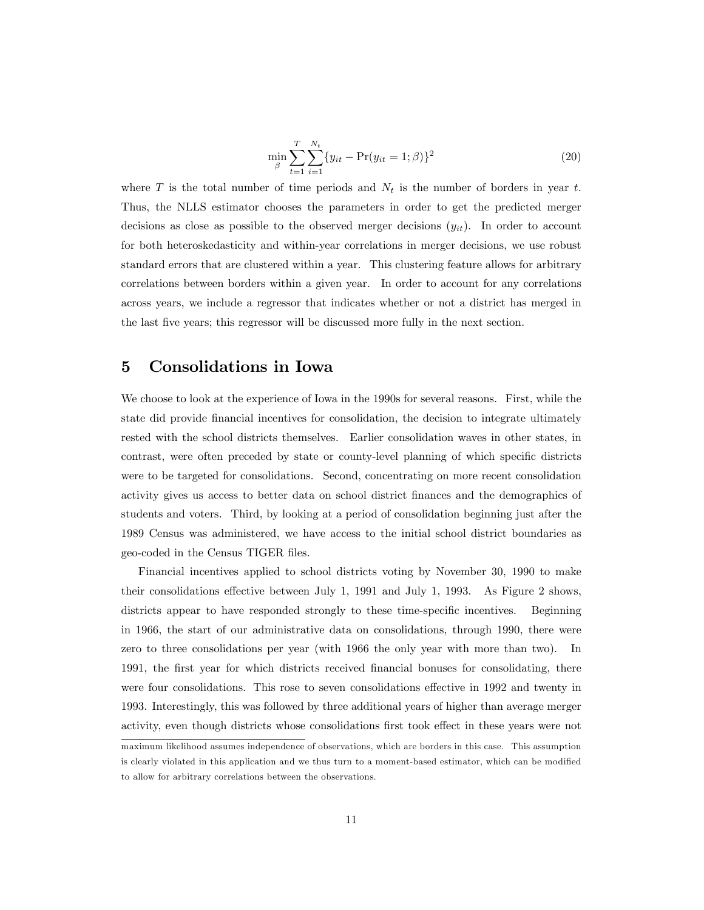$$
\min_{\beta} \sum_{t=1}^{T} \sum_{i=1}^{N_t} \{y_{it} - \Pr(y_{it} = 1; \beta)\}^2
$$
\n(20)

where T is the total number of time periods and  $N_t$  is the number of borders in year t. Thus, the NLLS estimator chooses the parameters in order to get the predicted merger decisions as close as possible to the observed merger decisions  $(y_{it})$ . In order to account for both heteroskedasticity and within-year correlations in merger decisions, we use robust standard errors that are clustered within a year. This clustering feature allows for arbitrary correlations between borders within a given year. In order to account for any correlations across years, we include a regressor that indicates whether or not a district has merged in the last Öve years; this regressor will be discussed more fully in the next section.

### 5 Consolidations in Iowa

We choose to look at the experience of Iowa in the 1990s for several reasons. First, while the state did provide financial incentives for consolidation, the decision to integrate ultimately rested with the school districts themselves. Earlier consolidation waves in other states, in contrast, were often preceded by state or county-level planning of which specific districts were to be targeted for consolidations. Second, concentrating on more recent consolidation activity gives us access to better data on school district Önances and the demographics of students and voters. Third, by looking at a period of consolidation beginning just after the 1989 Census was administered, we have access to the initial school district boundaries as geo-coded in the Census TIGER files.

Financial incentives applied to school districts voting by November 30, 1990 to make their consolidations effective between July 1, 1991 and July 1, 1993. As Figure 2 shows, districts appear to have responded strongly to these time-specific incentives. Beginning in 1966, the start of our administrative data on consolidations, through 1990, there were zero to three consolidations per year (with 1966 the only year with more than two). In 1991, the first year for which districts received financial bonuses for consolidating, there were four consolidations. This rose to seven consolidations effective in 1992 and twenty in 1993. Interestingly, this was followed by three additional years of higher than average merger activity, even though districts whose consolidations first took effect in these years were not

maximum likelihood assumes independence of observations, which are borders in this case. This assumption is clearly violated in this application and we thus turn to a moment-based estimator, which can be modified to allow for arbitrary correlations between the observations.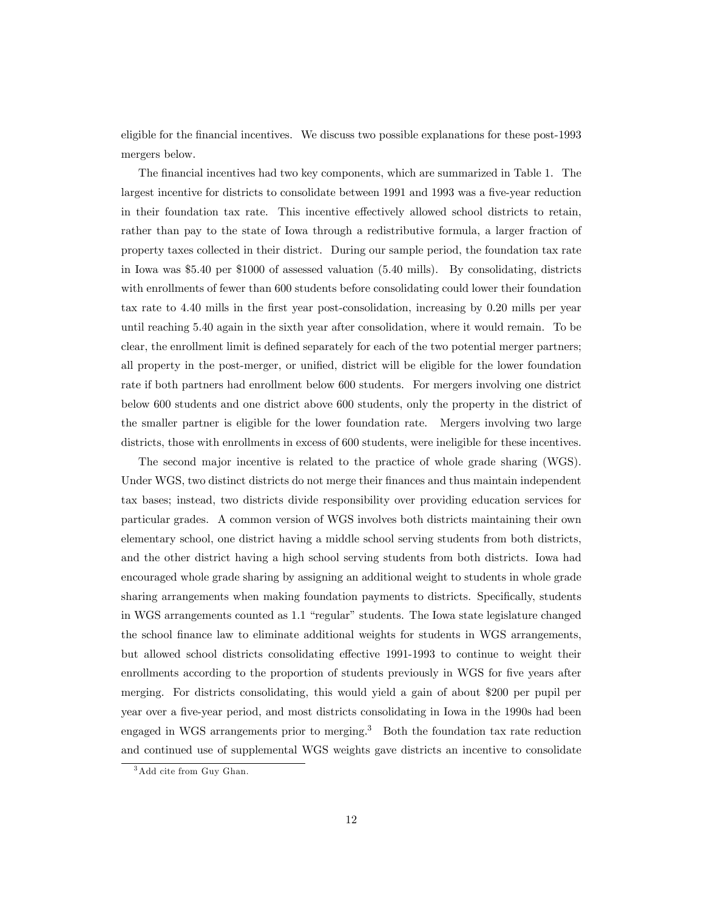eligible for the financial incentives. We discuss two possible explanations for these post-1993 mergers below.

The financial incentives had two key components, which are summarized in Table 1. The largest incentive for districts to consolidate between 1991 and 1993 was a five-year reduction in their foundation tax rate. This incentive effectively allowed school districts to retain, rather than pay to the state of Iowa through a redistributive formula, a larger fraction of property taxes collected in their district. During our sample period, the foundation tax rate in Iowa was \$5.40 per \$1000 of assessed valuation (5.40 mills). By consolidating, districts with enrollments of fewer than 600 students before consolidating could lower their foundation tax rate to 4.40 mills in the first year post-consolidation, increasing by 0.20 mills per year until reaching 5.40 again in the sixth year after consolidation, where it would remain. To be clear, the enrollment limit is defined separately for each of the two potential merger partners; all property in the post-merger, or unified, district will be eligible for the lower foundation rate if both partners had enrollment below 600 students. For mergers involving one district below 600 students and one district above 600 students, only the property in the district of the smaller partner is eligible for the lower foundation rate. Mergers involving two large districts, those with enrollments in excess of 600 students, were ineligible for these incentives.

The second major incentive is related to the practice of whole grade sharing (WGS). Under WGS, two distinct districts do not merge their Önances and thus maintain independent tax bases; instead, two districts divide responsibility over providing education services for particular grades. A common version of WGS involves both districts maintaining their own elementary school, one district having a middle school serving students from both districts, and the other district having a high school serving students from both districts. Iowa had encouraged whole grade sharing by assigning an additional weight to students in whole grade sharing arrangements when making foundation payments to districts. Specifically, students in WGS arrangements counted as 1.1 "regular" students. The Iowa state legislature changed the school Önance law to eliminate additional weights for students in WGS arrangements, but allowed school districts consolidating effective 1991-1993 to continue to weight their enrollments according to the proportion of students previously in WGS for five years after merging. For districts consolidating, this would yield a gain of about \$200 per pupil per year over a five-year period, and most districts consolidating in Iowa in the 1990s had been engaged in WGS arrangements prior to merging.<sup>3</sup> Both the foundation tax rate reduction and continued use of supplemental WGS weights gave districts an incentive to consolidate

<sup>3</sup>Add cite from Guy Ghan.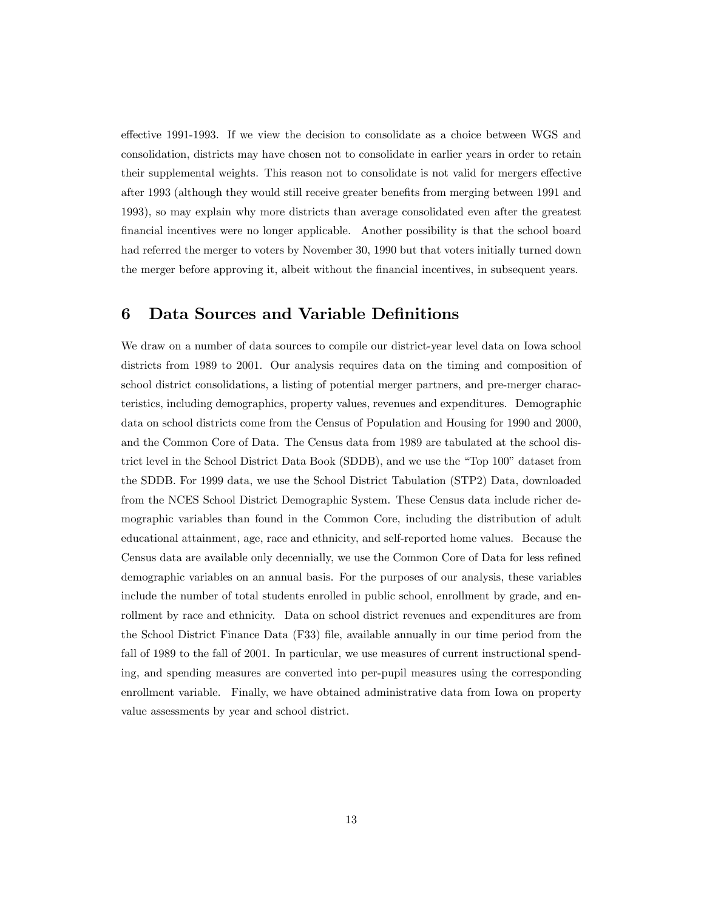effective 1991-1993. If we view the decision to consolidate as a choice between WGS and consolidation, districts may have chosen not to consolidate in earlier years in order to retain their supplemental weights. This reason not to consolidate is not valid for mergers effective after 1993 (although they would still receive greater benefits from merging between 1991 and 1993), so may explain why more districts than average consolidated even after the greatest Önancial incentives were no longer applicable. Another possibility is that the school board had referred the merger to voters by November 30, 1990 but that voters initially turned down the merger before approving it, albeit without the Önancial incentives, in subsequent years.

## 6 Data Sources and Variable Definitions

We draw on a number of data sources to compile our district-year level data on Iowa school districts from 1989 to 2001. Our analysis requires data on the timing and composition of school district consolidations, a listing of potential merger partners, and pre-merger characteristics, including demographics, property values, revenues and expenditures. Demographic data on school districts come from the Census of Population and Housing for 1990 and 2000, and the Common Core of Data. The Census data from 1989 are tabulated at the school district level in the School District Data Book (SDDB), and we use the "Top 100" dataset from the SDDB. For 1999 data, we use the School District Tabulation (STP2) Data, downloaded from the NCES School District Demographic System. These Census data include richer demographic variables than found in the Common Core, including the distribution of adult educational attainment, age, race and ethnicity, and self-reported home values. Because the Census data are available only decennially, we use the Common Core of Data for less refined demographic variables on an annual basis. For the purposes of our analysis, these variables include the number of total students enrolled in public school, enrollment by grade, and enrollment by race and ethnicity. Data on school district revenues and expenditures are from the School District Finance Data (F33) Öle, available annually in our time period from the fall of 1989 to the fall of 2001. In particular, we use measures of current instructional spending, and spending measures are converted into per-pupil measures using the corresponding enrollment variable. Finally, we have obtained administrative data from Iowa on property value assessments by year and school district.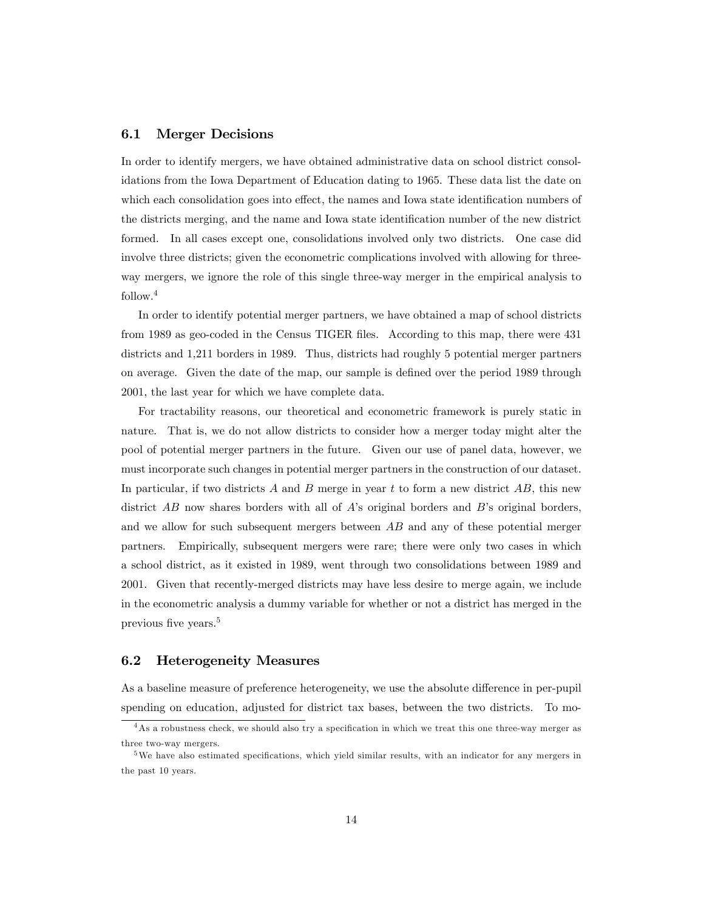#### 6.1 Merger Decisions

In order to identify mergers, we have obtained administrative data on school district consolidations from the Iowa Department of Education dating to 1965. These data list the date on which each consolidation goes into effect, the names and Iowa state identification numbers of the districts merging, and the name and Iowa state identification number of the new district formed. In all cases except one, consolidations involved only two districts. One case did involve three districts; given the econometric complications involved with allowing for threeway mergers, we ignore the role of this single three-way merger in the empirical analysis to follow.<sup>4</sup>

In order to identify potential merger partners, we have obtained a map of school districts from 1989 as geo-coded in the Census TIGER files. According to this map, there were 431 districts and 1,211 borders in 1989. Thus, districts had roughly 5 potential merger partners on average. Given the date of the map, our sample is defined over the period 1989 through 2001, the last year for which we have complete data.

For tractability reasons, our theoretical and econometric framework is purely static in nature. That is, we do not allow districts to consider how a merger today might alter the pool of potential merger partners in the future. Given our use of panel data, however, we must incorporate such changes in potential merger partners in the construction of our dataset. In particular, if two districts A and B merge in year t to form a new district  $AB$ , this new district  $\overline{AB}$  now shares borders with all of  $\overline{A}$ 's original borders and  $\overline{B}$ 's original borders, and we allow for such subsequent mergers between AB and any of these potential merger partners. Empirically, subsequent mergers were rare; there were only two cases in which a school district, as it existed in 1989, went through two consolidations between 1989 and 2001. Given that recently-merged districts may have less desire to merge again, we include in the econometric analysis a dummy variable for whether or not a district has merged in the previous five years.<sup>5</sup>

#### 6.2 Heterogeneity Measures

As a baseline measure of preference heterogeneity, we use the absolute difference in per-pupil spending on education, adjusted for district tax bases, between the two districts. To mo-

<sup>&</sup>lt;sup>4</sup>As a robustness check, we should also try a specification in which we treat this one three-way merger as three two-way mergers.

 $5$ We have also estimated specifications, which yield similar results, with an indicator for any mergers in the past 10 years.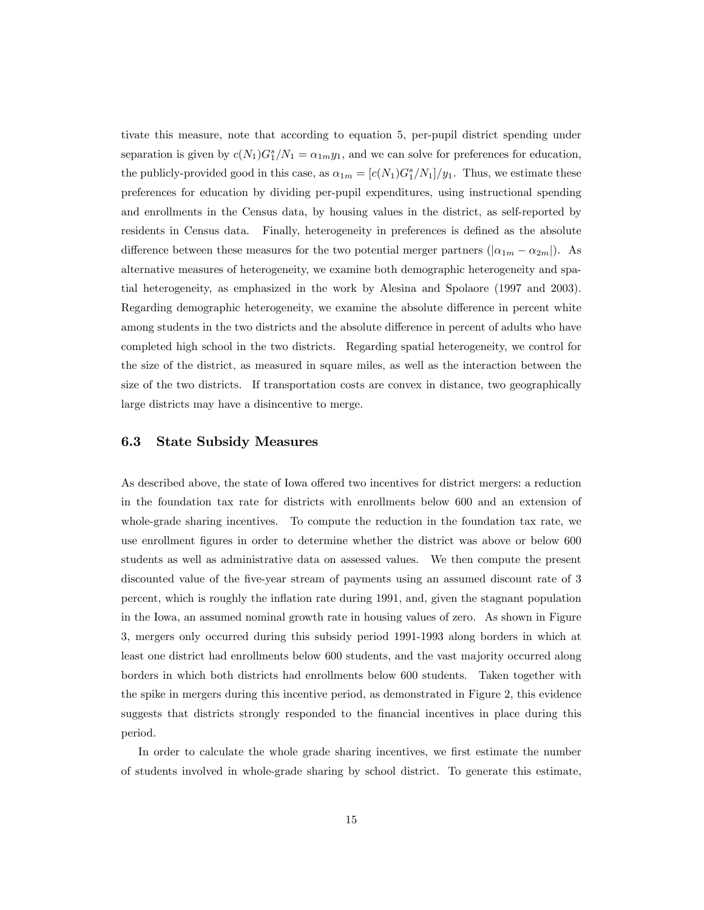tivate this measure, note that according to equation 5, per-pupil district spending under separation is given by  $c(N_1)G_1^s/N_1=\alpha_{1m}y_1$ , and we can solve for preferences for education, the publicly-provided good in this case, as  $\alpha_{1m} = [c(N_1)G_1^s/N_1]/y_1$ . Thus, we estimate these preferences for education by dividing per-pupil expenditures, using instructional spending and enrollments in the Census data, by housing values in the district, as self-reported by residents in Census data. Finally, heterogeneity in preferences is defined as the absolute difference between these measures for the two potential merger partners  $(|\alpha_{1m} - \alpha_{2m}|)$ . As alternative measures of heterogeneity, we examine both demographic heterogeneity and spatial heterogeneity, as emphasized in the work by Alesina and Spolaore (1997 and 2003). Regarding demographic heterogeneity, we examine the absolute difference in percent white among students in the two districts and the absolute difference in percent of adults who have completed high school in the two districts. Regarding spatial heterogeneity, we control for the size of the district, as measured in square miles, as well as the interaction between the size of the two districts. If transportation costs are convex in distance, two geographically large districts may have a disincentive to merge.

#### 6.3 State Subsidy Measures

As described above, the state of Iowa offered two incentives for district mergers: a reduction in the foundation tax rate for districts with enrollments below 600 and an extension of whole-grade sharing incentives. To compute the reduction in the foundation tax rate, we use enrollment Ögures in order to determine whether the district was above or below 600 students as well as administrative data on assessed values. We then compute the present discounted value of the five-year stream of payments using an assumed discount rate of 3 percent, which is roughly the ináation rate during 1991, and, given the stagnant population in the Iowa, an assumed nominal growth rate in housing values of zero. As shown in Figure 3, mergers only occurred during this subsidy period 1991-1993 along borders in which at least one district had enrollments below 600 students, and the vast majority occurred along borders in which both districts had enrollments below 600 students. Taken together with the spike in mergers during this incentive period, as demonstrated in Figure 2, this evidence suggests that districts strongly responded to the financial incentives in place during this period.

In order to calculate the whole grade sharing incentives, we first estimate the number of students involved in whole-grade sharing by school district. To generate this estimate,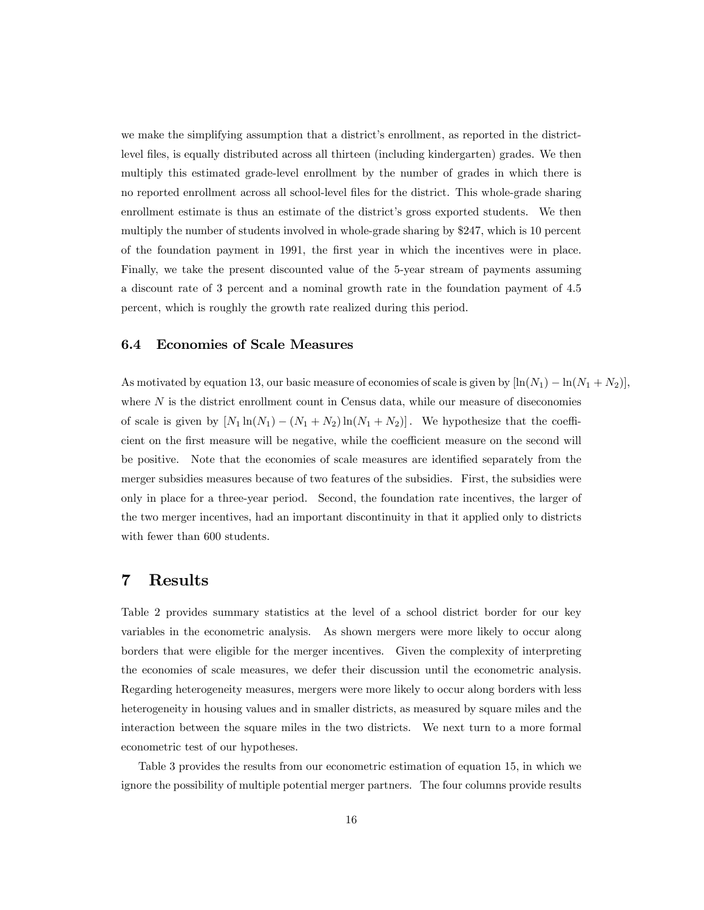we make the simplifying assumption that a district's enrollment, as reported in the districtlevel files, is equally distributed across all thirteen (including kindergarten) grades. We then multiply this estimated grade-level enrollment by the number of grades in which there is no reported enrollment across all school-level files for the district. This whole-grade sharing enrollment estimate is thus an estimate of the district's gross exported students. We then multiply the number of students involved in whole-grade sharing by \$247, which is 10 percent of the foundation payment in 1991, the first year in which the incentives were in place. Finally, we take the present discounted value of the 5-year stream of payments assuming a discount rate of 3 percent and a nominal growth rate in the foundation payment of 4.5 percent, which is roughly the growth rate realized during this period.

#### 6.4 Economies of Scale Measures

As motivated by equation 13, our basic measure of economies of scale is given by  $\left[ \ln(N_1) - \ln(N_1 + N_2) \right]$ , where  $N$  is the district enrollment count in Census data, while our measure of diseconomies of scale is given by  $[N_1 \ln(N_1) - (N_1 + N_2) \ln(N_1 + N_2)]$ . We hypothesize that the coefficient on the first measure will be negative, while the coefficient measure on the second will be positive. Note that the economies of scale measures are identified separately from the merger subsidies measures because of two features of the subsidies. First, the subsidies were only in place for a three-year period. Second, the foundation rate incentives, the larger of the two merger incentives, had an important discontinuity in that it applied only to districts with fewer than 600 students.

### 7 Results

Table 2 provides summary statistics at the level of a school district border for our key variables in the econometric analysis. As shown mergers were more likely to occur along borders that were eligible for the merger incentives. Given the complexity of interpreting the economies of scale measures, we defer their discussion until the econometric analysis. Regarding heterogeneity measures, mergers were more likely to occur along borders with less heterogeneity in housing values and in smaller districts, as measured by square miles and the interaction between the square miles in the two districts. We next turn to a more formal econometric test of our hypotheses.

Table 3 provides the results from our econometric estimation of equation 15, in which we ignore the possibility of multiple potential merger partners. The four columns provide results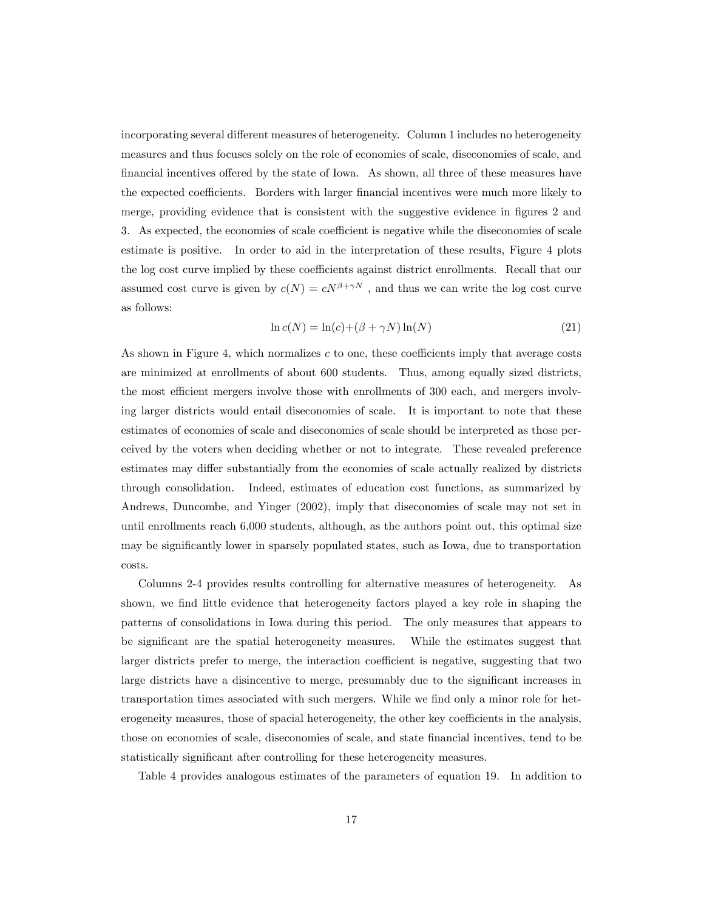incorporating several different measures of heterogeneity. Column 1 includes no heterogeneity measures and thus focuses solely on the role of economies of scale, diseconomies of scale, and financial incentives offered by the state of Iowa. As shown, all three of these measures have the expected coefficients. Borders with larger financial incentives were much more likely to merge, providing evidence that is consistent with the suggestive evidence in figures 2 and 3. As expected, the economies of scale coefficient is negative while the diseconomies of scale estimate is positive. In order to aid in the interpretation of these results, Figure 4 plots the log cost curve implied by these coefficients against district enrollments. Recall that our assumed cost curve is given by  $c(N) = cN^{\beta + \gamma N}$ , and thus we can write the log cost curve as follows:

$$
\ln c(N) = \ln(c) + (\beta + \gamma N)\ln(N) \tag{21}
$$

As shown in Figure 4, which normalizes  $c$  to one, these coefficients imply that average costs are minimized at enrollments of about 600 students. Thus, among equally sized districts, the most efficient mergers involve those with enrollments of 300 each, and mergers involving larger districts would entail diseconomies of scale. It is important to note that these estimates of economies of scale and diseconomies of scale should be interpreted as those perceived by the voters when deciding whether or not to integrate. These revealed preference estimates may differ substantially from the economies of scale actually realized by districts through consolidation. Indeed, estimates of education cost functions, as summarized by Andrews, Duncombe, and Yinger (2002), imply that diseconomies of scale may not set in until enrollments reach 6,000 students, although, as the authors point out, this optimal size may be significantly lower in sparsely populated states, such as Iowa, due to transportation costs.

Columns 2-4 provides results controlling for alternative measures of heterogeneity. As shown, we find little evidence that heterogeneity factors played a key role in shaping the patterns of consolidations in Iowa during this period. The only measures that appears to be significant are the spatial heterogeneity measures. While the estimates suggest that larger districts prefer to merge, the interaction coefficient is negative, suggesting that two large districts have a disincentive to merge, presumably due to the significant increases in transportation times associated with such mergers. While we find only a minor role for heterogeneity measures, those of spacial heterogeneity, the other key coefficients in the analysis, those on economies of scale, diseconomies of scale, and state financial incentives, tend to be statistically significant after controlling for these heterogeneity measures.

Table 4 provides analogous estimates of the parameters of equation 19. In addition to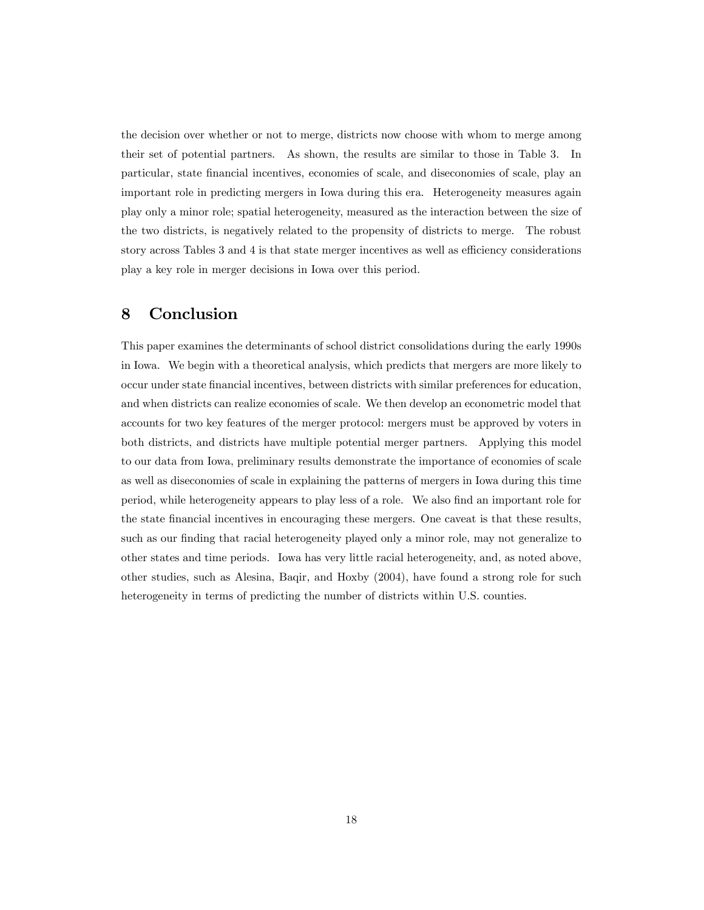the decision over whether or not to merge, districts now choose with whom to merge among their set of potential partners. As shown, the results are similar to those in Table 3. In particular, state Önancial incentives, economies of scale, and diseconomies of scale, play an important role in predicting mergers in Iowa during this era. Heterogeneity measures again play only a minor role; spatial heterogeneity, measured as the interaction between the size of the two districts, is negatively related to the propensity of districts to merge. The robust story across Tables 3 and 4 is that state merger incentives as well as efficiency considerations play a key role in merger decisions in Iowa over this period.

# 8 Conclusion

This paper examines the determinants of school district consolidations during the early 1990s in Iowa. We begin with a theoretical analysis, which predicts that mergers are more likely to occur under state Önancial incentives, between districts with similar preferences for education, and when districts can realize economies of scale. We then develop an econometric model that accounts for two key features of the merger protocol: mergers must be approved by voters in both districts, and districts have multiple potential merger partners. Applying this model to our data from Iowa, preliminary results demonstrate the importance of economies of scale as well as diseconomies of scale in explaining the patterns of mergers in Iowa during this time period, while heterogeneity appears to play less of a role. We also Önd an important role for the state Önancial incentives in encouraging these mergers. One caveat is that these results, such as our finding that racial heterogeneity played only a minor role, may not generalize to other states and time periods. Iowa has very little racial heterogeneity, and, as noted above, other studies, such as Alesina, Baqir, and Hoxby (2004), have found a strong role for such heterogeneity in terms of predicting the number of districts within U.S. counties.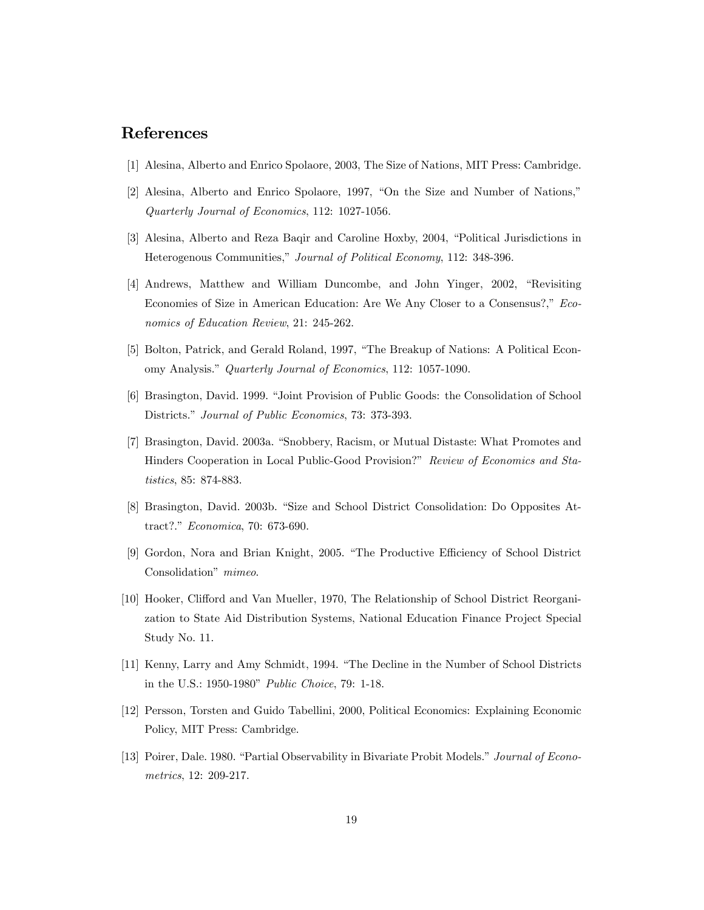# References

- [1] Alesina, Alberto and Enrico Spolaore, 2003, The Size of Nations, MIT Press: Cambridge.
- $[2]$  Alesina, Alberto and Enrico Spolaore, 1997, "On the Size and Number of Nations," Quarterly Journal of Economics, 112: 1027-1056.
- [3] Alesina, Alberto and Reza Baqir and Caroline Hoxby, 2004, "Political Jurisdictions in Heterogenous Communities," Journal of Political Economy, 112: 348-396.
- [4] Andrews, Matthew and William Duncombe, and John Yinger, 2002, "Revisiting Economies of Size in American Education: Are We Any Closer to a Consensus?," Economics of Education Review, 21: 245-262.
- [5] Bolton, Patrick, and Gerald Roland, 1997, "The Breakup of Nations: A Political Economy Analysis." Quarterly Journal of Economics, 112: 1057-1090.
- [6] Brasington, David. 1999. "Joint Provision of Public Goods: the Consolidation of School Districts." Journal of Public Economics, 73: 373-393.
- [7] Brasington, David. 2003a. "Snobbery, Racism, or Mutual Distaste: What Promotes and Hinders Cooperation in Local Public-Good Provision?" Review of Economics and Statistics, 85: 874-883.
- [8] Brasington, David. 2003b. "Size and School District Consolidation: Do Opposites Attract?." Economica, 70: 673-690.
- [9] Gordon, Nora and Brian Knight, 2005. "The Productive Efficiency of School District Consolidation" mimeo.
- [10] Hooker, Clifford and Van Mueller, 1970, The Relationship of School District Reorganization to State Aid Distribution Systems, National Education Finance Project Special Study No. 11.
- [11] Kenny, Larry and Amy Schmidt, 1994. "The Decline in the Number of School Districts in the U.S.: 1950-1980" Public Choice, 79: 1-18.
- [12] Persson, Torsten and Guido Tabellini, 2000, Political Economics: Explaining Economic Policy, MIT Press: Cambridge.
- [13] Poirer, Dale. 1980. "Partial Observability in Bivariate Probit Models." Journal of Econometrics, 12: 209-217.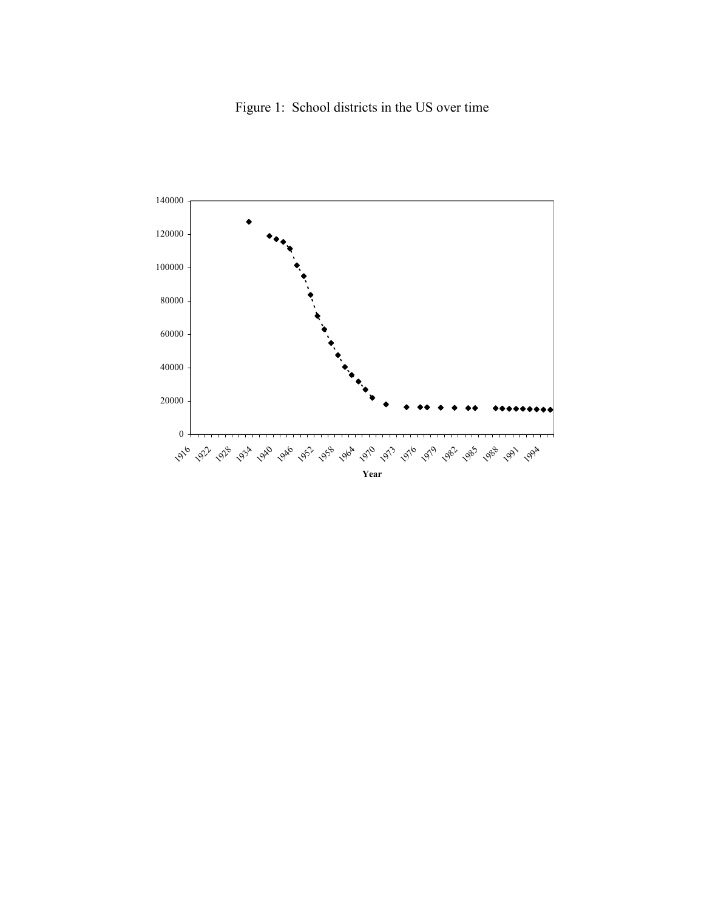Figure 1: School districts in the US over time

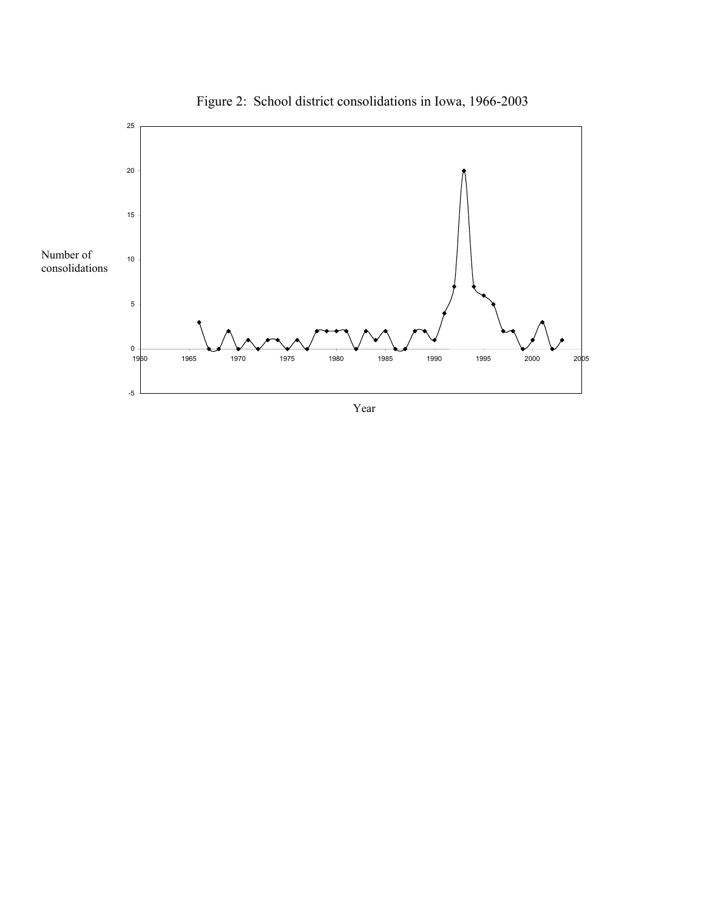

Figure 2: School district consolidations in Iowa, 1966-2003

Year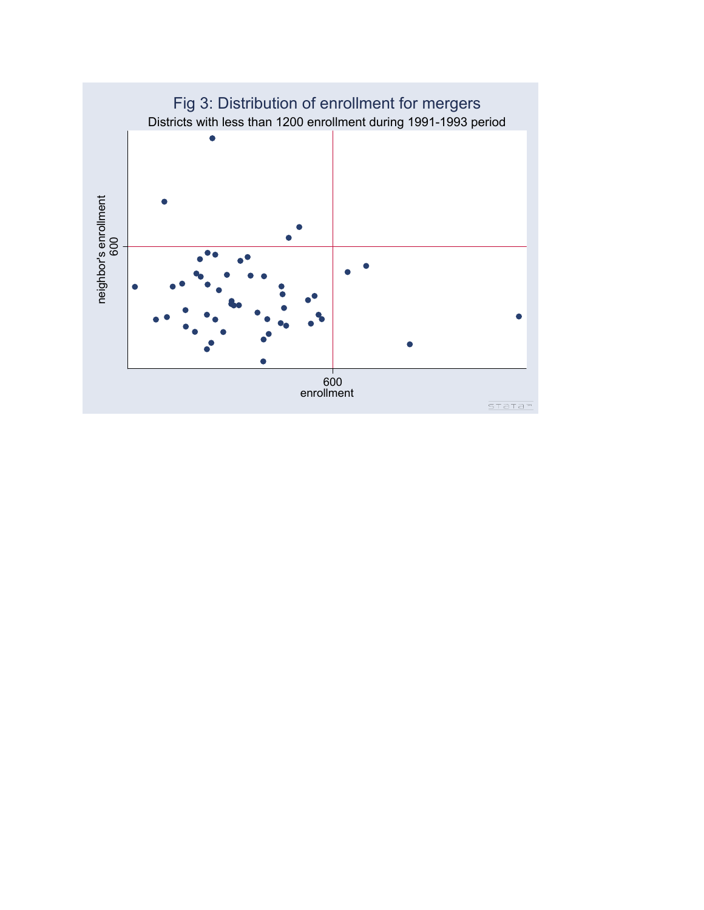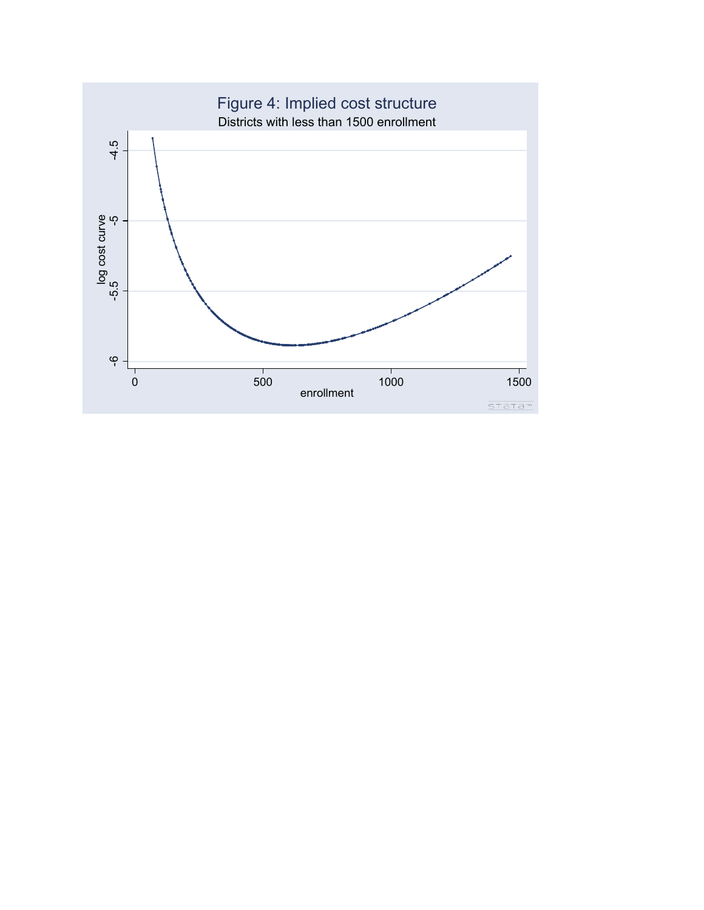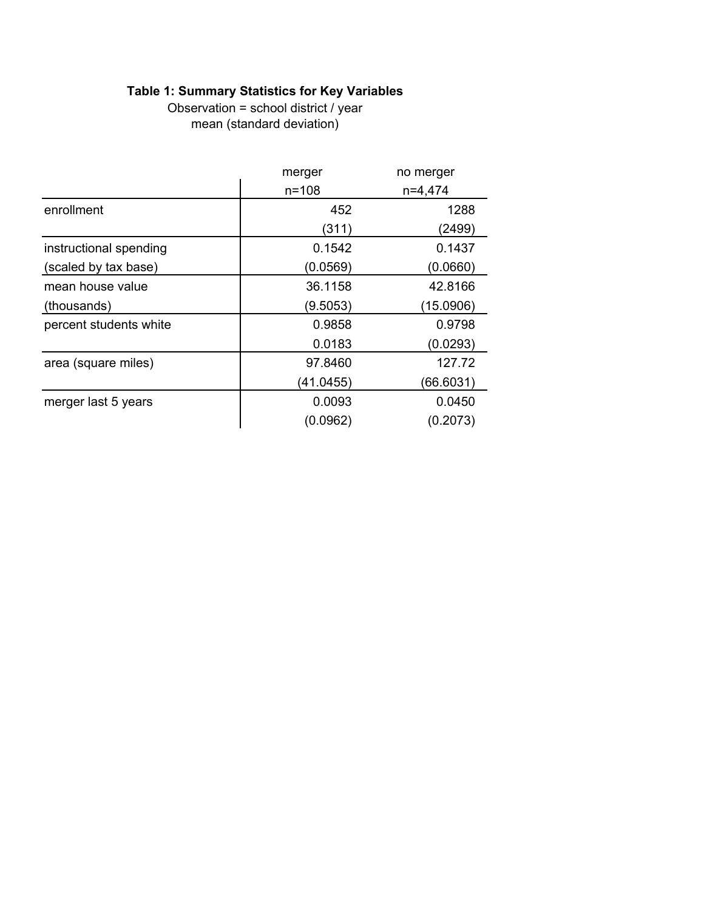# **Table 1: Summary Statistics for Key Variables**

mean (standard deviation) Observation = school district / year

|                        | merger<br>no merger |           |  |
|------------------------|---------------------|-----------|--|
|                        | $n = 108$           | $n=4,474$ |  |
| enrollment             | 452                 | 1288      |  |
|                        | (311)               | (2499)    |  |
| instructional spending | 0.1542              | 0.1437    |  |
| (scaled by tax base)   | (0.0569)            | (0.0660)  |  |
| mean house value       | 36.1158             | 42.8166   |  |
| (thousands)            | (9.5053)            | (15.0906) |  |
| percent students white | 0.9858              | 0.9798    |  |
|                        | 0.0183              | (0.0293)  |  |
| area (square miles)    | 97.8460             | 127.72    |  |
|                        | (41.0455)           | (66.6031) |  |
| merger last 5 years    | 0.0093              | 0.0450    |  |
|                        | (0.0962)            | (0.2073)  |  |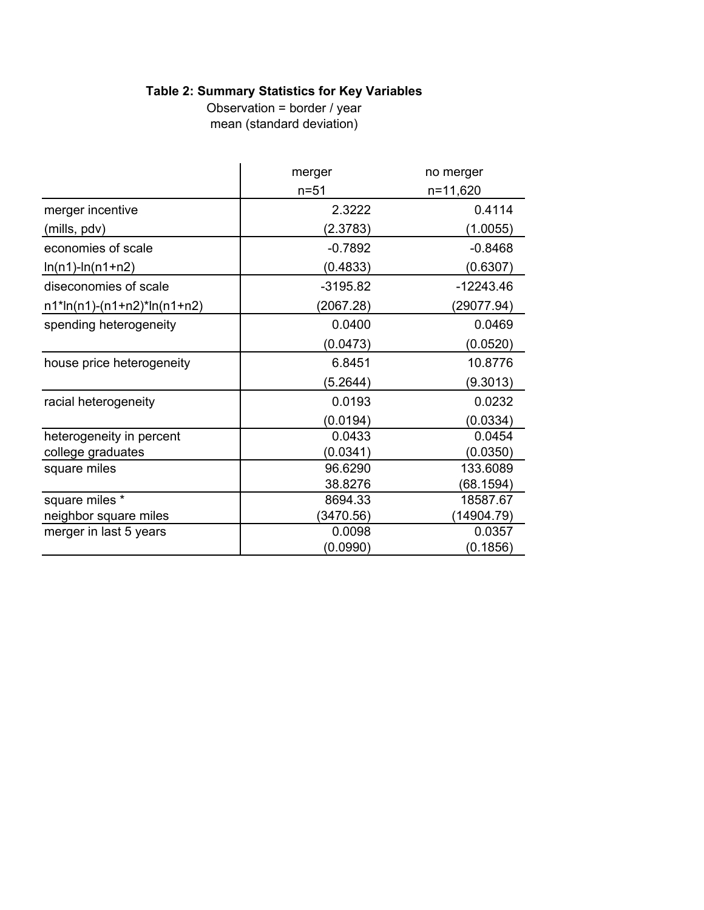# **Table 2: Summary Statistics for Key Variables**

mean (standard deviation) Observation = border / year

|                               | merger     | no merger   |
|-------------------------------|------------|-------------|
|                               | $n = 51$   | n=11,620    |
| merger incentive              | 2.3222     | 0.4114      |
| (mills, pdv)                  | (2.3783)   | (1.0055)    |
| economies of scale            | $-0.7892$  | $-0.8468$   |
| $ln(n1)$ - $ln(n1+n2)$        | (0.4833)   | (0.6307)    |
| diseconomies of scale         | $-3195.82$ | $-12243.46$ |
| $n1*ln(n1)-(n1+n2)*ln(n1+n2)$ | (2067.28)  | (29077.94)  |
| spending heterogeneity        | 0.0400     | 0.0469      |
|                               | (0.0473)   | (0.0520)    |
| house price heterogeneity     | 6.8451     | 10.8776     |
|                               | (5.2644)   | (9.3013)    |
| racial heterogeneity          | 0.0193     | 0.0232      |
|                               | (0.0194)   | (0.0334)    |
| heterogeneity in percent      | 0.0433     | 0.0454      |
| college graduates             | (0.0341)   | (0.0350)    |
| square miles                  | 96.6290    | 133.6089    |
|                               | 38.8276    | (68.1594)   |
| square miles *                | 8694.33    | 18587.67    |
| neighbor square miles         | (3470.56)  | 14904.79)   |
| merger in last 5 years        | 0.0098     | 0.0357      |
|                               | (0.0990)   | (0.1856)    |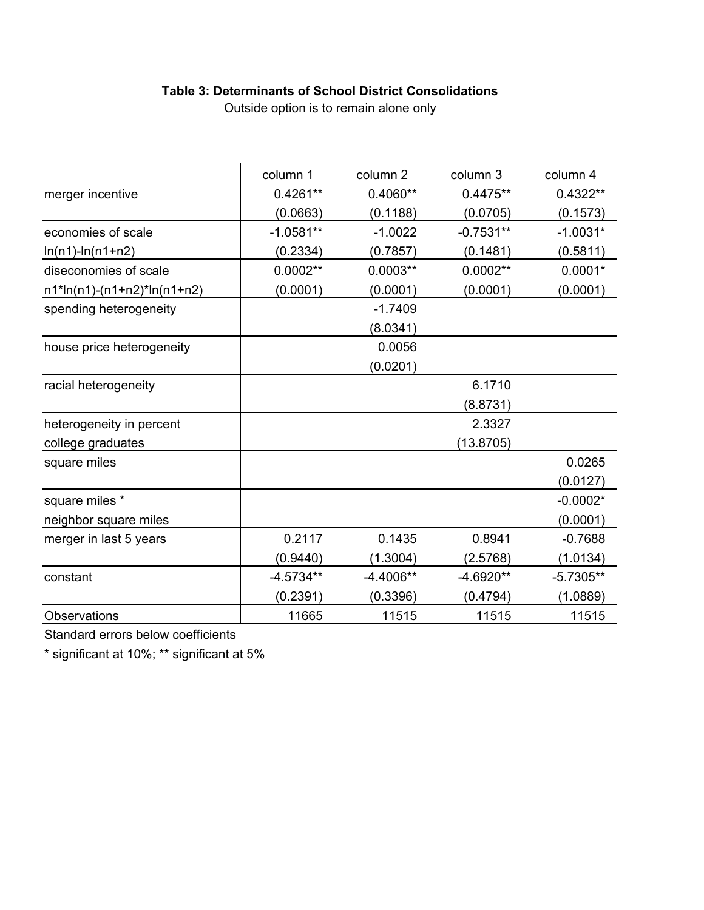# **Table 3: Determinants of School District Consolidations**

Outside option is to remain alone only

|                               | column 1    | column 2    | column 3    | column 4    |
|-------------------------------|-------------|-------------|-------------|-------------|
| merger incentive              | $0.4261**$  | $0.4060**$  | $0.4475**$  | $0.4322**$  |
|                               | (0.0663)    | (0.1188)    | (0.0705)    | (0.1573)    |
| economies of scale            | $-1.0581**$ | $-1.0022$   | $-0.7531**$ | $-1.0031*$  |
| $ln(n1)$ - $ln(n1+n2)$        | (0.2334)    | (0.7857)    | (0.1481)    | (0.5811)    |
| diseconomies of scale         | $0.0002**$  | $0.0003**$  | $0.0002**$  | $0.0001*$   |
| $n1*ln(n1)-(n1+n2)*ln(n1+n2)$ | (0.0001)    | (0.0001)    | (0.0001)    | (0.0001)    |
| spending heterogeneity        |             | $-1.7409$   |             |             |
|                               |             | (8.0341)    |             |             |
| house price heterogeneity     |             | 0.0056      |             |             |
|                               |             | (0.0201)    |             |             |
| racial heterogeneity          |             |             | 6.1710      |             |
|                               |             |             | (8.8731)    |             |
| heterogeneity in percent      |             |             | 2.3327      |             |
| college graduates             |             |             | (13.8705)   |             |
| square miles                  |             |             |             | 0.0265      |
|                               |             |             |             | (0.0127)    |
| square miles *                |             |             |             | $-0.0002*$  |
| neighbor square miles         |             |             |             | (0.0001)    |
| merger in last 5 years        | 0.2117      | 0.1435      | 0.8941      | $-0.7688$   |
|                               | (0.9440)    | (1.3004)    | (2.5768)    | (1.0134)    |
| constant                      | $-4.5734**$ | $-4.4006**$ | -4.6920**   | $-5.7305**$ |
|                               | (0.2391)    | (0.3396)    | (0.4794)    | (1.0889)    |
| <b>Observations</b>           | 11665       | 11515       | 11515       | 11515       |

Standard errors below coefficients

\* significant at 10%; \*\* significant at 5%